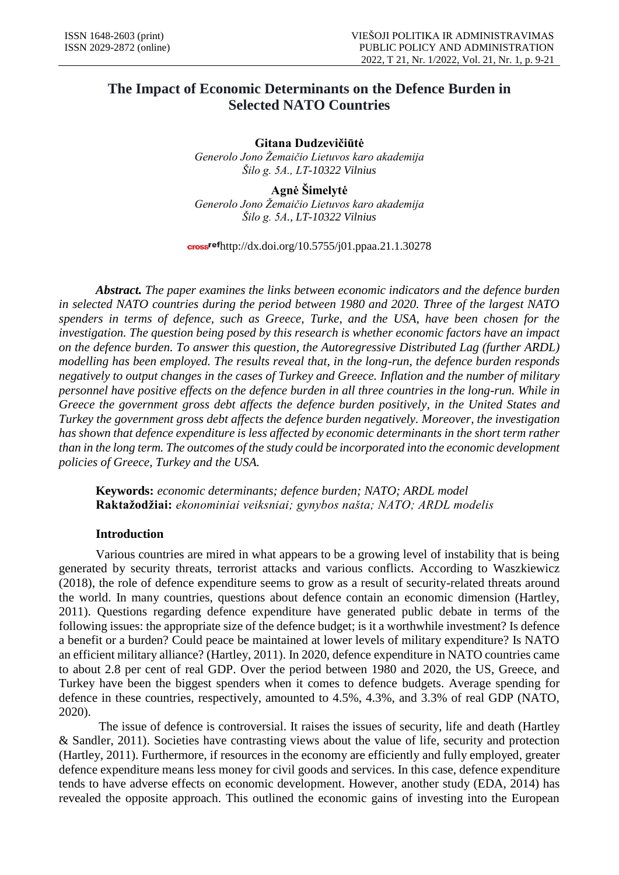# **The Impact of Economic Determinants on the Defence Burden in Selected NATO Countries**

**Gitana Dudzevičiūtė** *Generolo Jono Žemaičio Lietuvos karo akademija Šilo g. 5A., LT-10322 Vilnius*

**Agnė Šimelytė** *Generolo Jono Žemaičio Lietuvos karo akademija Šilo g. 5A., LT-10322 Vilnius*

 $\frac{\text{cross}^\text{ref}}{\text{http://dx.doi.org/10.5755/j01.ppaa.21.1.30278}}$ 

*Abstract. The paper examines the links between economic indicators and the defence burden in selected NATO countries during the period between 1980 and 2020. Three of the largest NATO spenders in terms of defence, such as Greece, Turke, and the USA, have been chosen for the investigation. The question being posed by this research is whether economic factors have an impact on the defence burden. To answer this question, the Autoregressive Distributed Lag (further ARDL) modelling has been employed. The results reveal that, in the long-run, the defence burden responds negatively to output changes in the cases of Turkey and Greece. Inflation and the number of military personnel have positive effects on the defence burden in all three countries in the long-run. While in Greece the government gross debt affects the defence burden positively, in the United States and Turkey the government gross debt affects the defence burden negatively. Moreover, the investigation has shown that defence expenditure is less affected by economic determinants in the short term rather than in the long term. The outcomes of the study could be incorporated into the economic development policies of Greece, Turkey and the USA.*

**Keywords:** *economic determinants; defence burden; NATO; ARDL model* **Raktažodžiai:** *ekonominiai veiksniai; gynybos našta; NATO; ARDL modelis*

# **Introduction**

Various countries are mired in what appears to be a growing level of instability that is being generated by security threats, terrorist attacks and various conflicts. According to Waszkiewicz (2018), the role of defence expenditure seems to grow as a result of security-related threats around the world. In many countries, questions about defence contain an economic dimension (Hartley, 2011). Questions regarding defence expenditure have generated public debate in terms of the following issues: the appropriate size of the defence budget; is it a worthwhile investment? Is defence a benefit or a burden? Could peace be maintained at lower levels of military expenditure? Is NATO an efficient military alliance? (Hartley, 2011). In 2020, defence expenditure in NATO countries came to about 2.8 per cent of real GDP. Over the period between 1980 and 2020, the US, Greece, and Turkey have been the biggest spenders when it comes to defence budgets. Average spending for defence in these countries, respectively, amounted to 4.5%, 4.3%, and 3.3% of real GDP (NATO, 2020).

The issue of defence is controversial. It raises the issues of security, life and death (Hartley & Sandler, 2011). Societies have contrasting views about the value of life, security and protection (Hartley, 2011). Furthermore, if resources in the economy are efficiently and fully employed, greater defence expenditure means less money for civil goods and services. In this case, defence expenditure tends to have adverse effects on economic development. However, another study (EDA, 2014) has revealed the opposite approach. This outlined the economic gains of investing into the European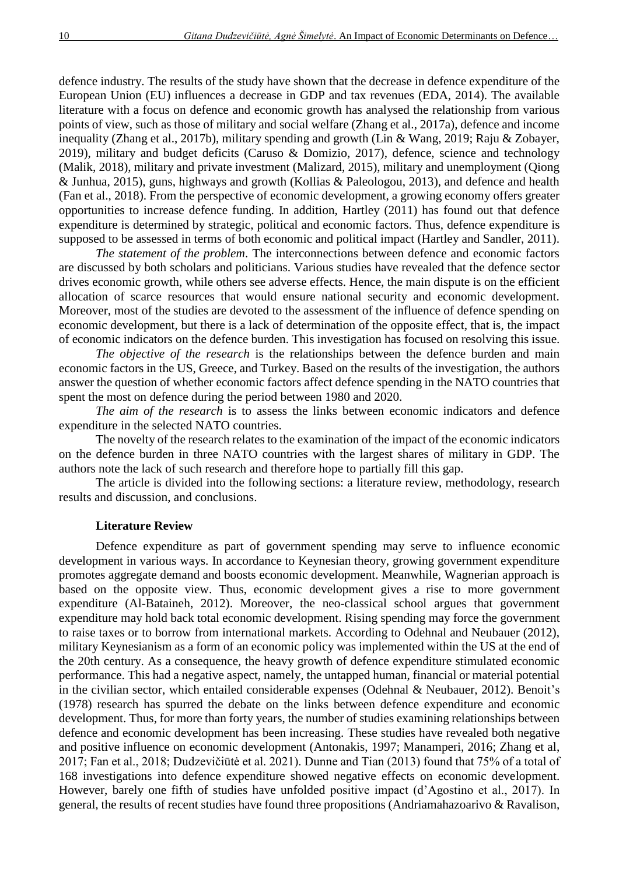defence industry. The results of the study have shown that the decrease in defence expenditure of the European Union (EU) influences a decrease in GDP and tax revenues (EDA, 2014). The available literature with a focus on defence and economic growth has analysed the relationship from various points of view, such as those of military and social welfare (Zhang et al., 2017a), defence and income inequality (Zhang et al., 2017b), military spending and growth (Lin & Wang, 2019; Raju & Zobayer, 2019), military and budget deficits (Caruso & Domizio, 2017), defence, science and technology (Malik, 2018), military and private investment (Malizard, 2015), military and unemployment (Qiong & Junhua, 2015), guns, highways and growth (Kollias & Paleologou, 2013), and defence and health (Fan et al., 2018). From the perspective of economic development, a growing economy offers greater opportunities to increase defence funding. In addition, Hartley (2011) has found out that defence expenditure is determined by strategic, political and economic factors. Thus, defence expenditure is supposed to be assessed in terms of both economic and political impact (Hartley and Sandler, 2011).

*The statement of the problem*. The interconnections between defence and economic factors are discussed by both scholars and politicians. Various studies have revealed that the defence sector drives economic growth, while others see adverse effects. Hence, the main dispute is on the efficient allocation of scarce resources that would ensure national security and economic development. Moreover, most of the studies are devoted to the assessment of the influence of defence spending on economic development, but there is a lack of determination of the opposite effect, that is, the impact of economic indicators on the defence burden. This investigation has focused on resolving this issue.

*The objective of the research* is the relationships between the defence burden and main economic factors in the US, Greece, and Turkey. Based on the results of the investigation, the authors answer the question of whether economic factors affect defence spending in the NATO countries that spent the most on defence during the period between 1980 and 2020.

*The aim of the research* is to assess the links between economic indicators and defence expenditure in the selected NATO countries.

The novelty of the research relates to the examination of the impact of the economic indicators on the defence burden in three NATO countries with the largest shares of military in GDP. The authors note the lack of such research and therefore hope to partially fill this gap.

The article is divided into the following sections: a literature review, methodology, research results and discussion, and conclusions.

#### **Literature Review**

Defence expenditure as part of government spending may serve to influence economic development in various ways. In accordance to Keynesian theory, growing government expenditure promotes aggregate demand and boosts economic development. Meanwhile, Wagnerian approach is based on the opposite view. Thus, economic development gives a rise to more government expenditure (Al-Bataineh, 2012). Moreover, the neo-classical school argues that government expenditure may hold back total economic development. Rising spending may force the government to raise taxes or to borrow from international markets. According to Odehnal and Neubauer (2012), military Keynesianism as a form of an economic policy was implemented within the US at the end of the 20th century. As a consequence, the heavy growth of defence expenditure stimulated economic performance. This had a negative aspect, namely, the untapped human, financial or material potential in the civilian sector, which entailed considerable expenses (Odehnal & Neubauer, 2012). Benoit's (1978) research has spurred the debate on the links between defence expenditure and economic development. Thus, for more than forty years, the number of studies examining relationships between defence and economic development has been increasing. These studies have revealed both negative and positive influence on economic development (Antonakis, 1997; Manamperi, 2016; Zhang et al, 2017; Fan et al., 2018; Dudzevičiūtė et al. 2021). Dunne and Tian (2013) found that 75% of a total of 168 investigations into defence expenditure showed negative effects on economic development. However, barely one fifth of studies have unfolded positive impact (d'Agostino et al., 2017). In general, the results of recent studies have found three propositions (Andriamahazoarivo & Ravalison,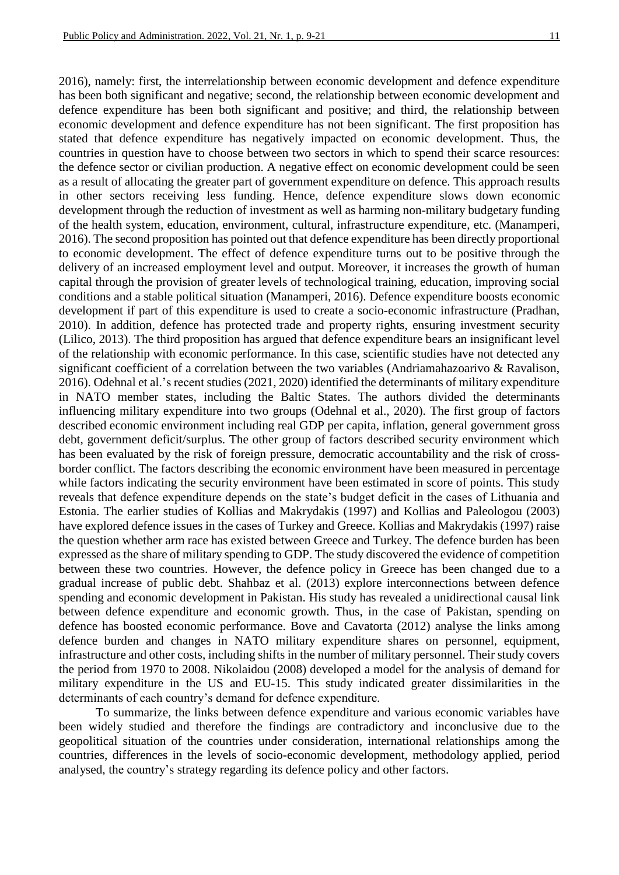2016), namely: first, the interrelationship between economic development and defence expenditure has been both significant and negative; second, the relationship between economic development and defence expenditure has been both significant and positive; and third, the relationship between economic development and defence expenditure has not been significant. The first proposition has stated that defence expenditure has negatively impacted on economic development. Thus, the countries in question have to choose between two sectors in which to spend their scarce resources: the defence sector or civilian production. A negative effect on economic development could be seen as a result of allocating the greater part of government expenditure on defence. This approach results in other sectors receiving less funding. Hence, defence expenditure slows down economic development through the reduction of investment as well as harming non-military budgetary funding of the health system, education, environment, cultural, infrastructure expenditure, etc. (Manamperi, 2016). The second proposition has pointed out that defence expenditure has been directly proportional to economic development. The effect of defence expenditure turns out to be positive through the delivery of an increased employment level and output. Moreover, it increases the growth of human capital through the provision of greater levels of technological training, education, improving social conditions and a stable political situation (Manamperi, 2016). Defence expenditure boosts economic development if part of this expenditure is used to create a socio-economic infrastructure (Pradhan, 2010). In addition, defence has protected trade and property rights, ensuring investment security (Lilico, 2013). The third proposition has argued that defence expenditure bears an insignificant level of the relationship with economic performance. In this case, scientific studies have not detected any significant coefficient of a correlation between the two variables (Andriamahazoarivo & Ravalison, 2016). Odehnal et al.'s recent studies (2021, 2020) identified the determinants of military expenditure in NATO member states, including the Baltic States. The authors divided the determinants influencing military expenditure into two groups (Odehnal et al., 2020). The first group of factors described economic environment including real GDP per capita, inflation, general government gross debt, government deficit/surplus. The other group of factors described security environment which has been evaluated by the risk of foreign pressure, democratic accountability and the risk of crossborder conflict. The factors describing the economic environment have been measured in percentage while factors indicating the security environment have been estimated in score of points. This study reveals that defence expenditure depends on the state's budget deficit in the cases of Lithuania and Estonia. The earlier studies of Kollias and Makrydakis (1997) and Kollias and Paleologou (2003) have explored defence issues in the cases of Turkey and Greece. Kollias and Makrydakis (1997) raise the question whether arm race has existed between Greece and Turkey. The defence burden has been expressed as the share of military spending to GDP. The study discovered the evidence of competition between these two countries. However, the defence policy in Greece has been changed due to a gradual increase of public debt. Shahbaz et al. (2013) explore interconnections between defence spending and economic development in Pakistan. His study has revealed a unidirectional causal link between defence expenditure and economic growth. Thus, in the case of Pakistan, spending on defence has boosted economic performance. Bove and Cavatorta (2012) analyse the links among defence burden and changes in NATO military expenditure shares on personnel, equipment, infrastructure and other costs, including shifts in the number of military personnel. Their study covers the period from 1970 to 2008. Nikolaidou (2008) developed a model for the analysis of demand for military expenditure in the US and EU-15. This study indicated greater dissimilarities in the determinants of each country's demand for defence expenditure.

To summarize, the links between defence expenditure and various economic variables have been widely studied and therefore the findings are contradictory and inconclusive due to the geopolitical situation of the countries under consideration, international relationships among the countries, differences in the levels of socio-economic development, methodology applied, period analysed, the country's strategy regarding its defence policy and other factors.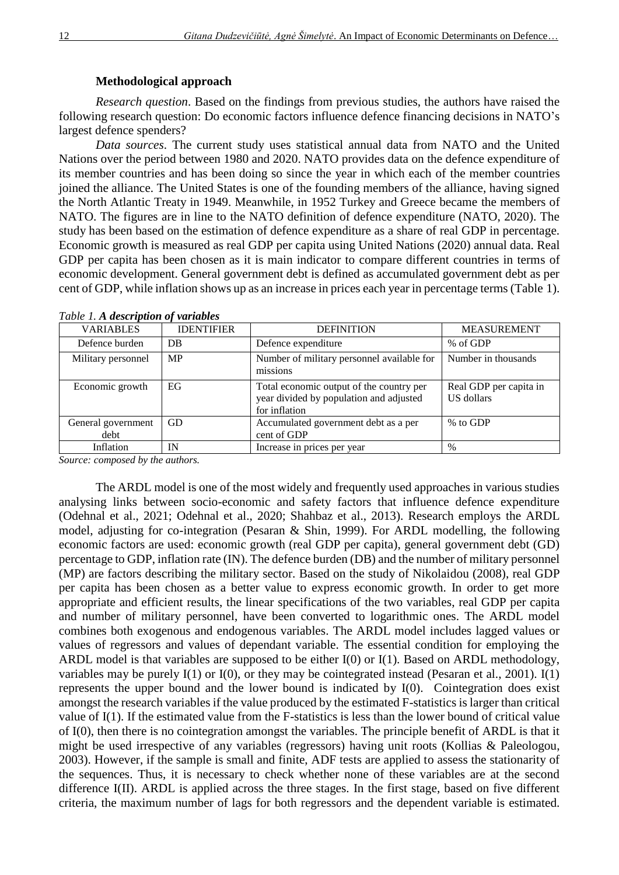#### **Methodological approach**

*Research question*. Based on the findings from previous studies, the authors have raised the following research question: Do economic factors influence defence financing decisions in NATO's largest defence spenders?

*Data sources*. The current study uses statistical annual data from NATO and the United Nations over the period between 1980 and 2020. NATO provides data on the defence expenditure of its member countries and has been doing so since the year in which each of the member countries joined the alliance. The United States is one of the founding members of the alliance, having signed the North Atlantic Treaty in 1949. Meanwhile, in 1952 Turkey and Greece became the members of NATO. The figures are in line to the NATO definition of defence expenditure (NATO, 2020). The study has been based on the estimation of defence expenditure as a share of real GDP in percentage. Economic growth is measured as real GDP per capita using United Nations (2020) annual data. Real GDP per capita has been chosen as it is main indicator to compare different countries in terms of economic development. General government debt is defined as accumulated government debt as per cent of GDP, while inflation shows up as an increase in prices each year in percentage terms (Table 1).

| <b>VARIABLES</b>           | <b>IDENTIFIER</b> | <b>DEFINITION</b>                                                                                    | <b>MEASUREMENT</b>                   |
|----------------------------|-------------------|------------------------------------------------------------------------------------------------------|--------------------------------------|
| Defence burden             | DB                | Defence expenditure                                                                                  | % of GDP                             |
| Military personnel         | <b>MP</b>         | Number of military personnel available for<br>missions                                               | Number in thousands                  |
| Economic growth            | EG                | Total economic output of the country per<br>year divided by population and adjusted<br>for inflation | Real GDP per capita in<br>US dollars |
| General government<br>debt | GD                | Accumulated government debt as a per<br>cent of GDP                                                  | % to GDP                             |
| Inflation                  | IN                | Increase in prices per year                                                                          | $\%$                                 |

*Table 1. A description of variables*

*Source: composed by the authors.*

The ARDL model is one of the most widely and frequently used approaches in various studies analysing links between socio-economic and safety factors that influence defence expenditure (Odehnal et al., 2021; Odehnal et al., 2020; Shahbaz et al., 2013). Research employs the ARDL model, adjusting for co-integration (Pesaran & Shin, 1999). For ARDL modelling, the following economic factors are used: economic growth (real GDP per capita), general government debt (GD) percentage to GDP, inflation rate (IN). The defence burden (DB) and the number of military personnel (MP) are factors describing the military sector. Based on the study of Nikolaidou (2008), real GDP per capita has been chosen as a better value to express economic growth. In order to get more appropriate and efficient results, the linear specifications of the two variables, real GDP per capita and number of military personnel, have been converted to logarithmic ones. The ARDL model combines both exogenous and endogenous variables. The ARDL model includes lagged values or values of regressors and values of dependant variable. The essential condition for employing the ARDL model is that variables are supposed to be either  $I(0)$  or  $I(1)$ . Based on ARDL methodology, variables may be purely I(1) or I(0), or they may be cointegrated instead (Pesaran et al., 2001). I(1) represents the upper bound and the lower bound is indicated by I(0). Cointegration does exist amongst the research variables if the value produced by the estimated F-statistics is larger than critical value of I(1). If the estimated value from the F-statistics is less than the lower bound of critical value of I(0), then there is no cointegration amongst the variables. The principle benefit of ARDL is that it might be used irrespective of any variables (regressors) having unit roots (Kollias & Paleologou, 2003). However, if the sample is small and finite, ADF tests are applied to assess the stationarity of the sequences. Thus, it is necessary to check whether none of these variables are at the second difference I(II). ARDL is applied across the three stages. In the first stage, based on five different criteria, the maximum number of lags for both regressors and the dependent variable is estimated.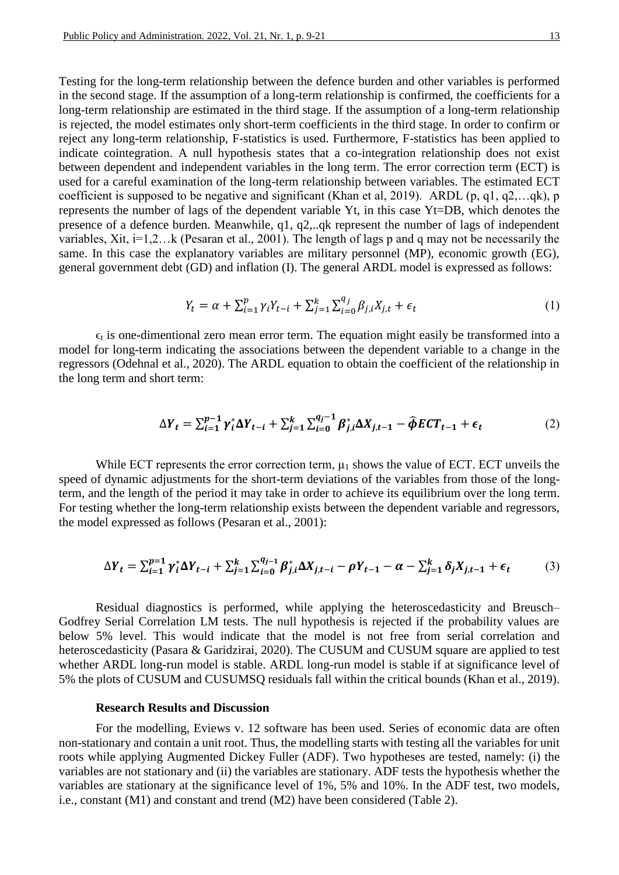Testing for the long-term relationship between the defence burden and other variables is performed in the second stage. If the assumption of a long-term relationship is confirmed, the coefficients for a long-term relationship are estimated in the third stage. If the assumption of a long-term relationship is rejected, the model estimates only short-term coefficients in the third stage. In order to confirm or reject any long-term relationship, F-statistics is used. Furthermore, F-statistics has been applied to indicate cointegration. A null hypothesis states that a co-integration relationship does not exist between dependent and independent variables in the long term. The error correction term (ECT) is used for a careful examination of the long-term relationship between variables. The estimated ECT coefficient is supposed to be negative and significant (Khan et al, 2019). ARDL (p, q1, q2,…qk), p represents the number of lags of the dependent variable Yt, in this case Yt=DB, which denotes the presence of a defence burden. Meanwhile, q1, q2,..qk represent the number of lags of independent variables, Xit, i=1,2…k (Pesaran et al., 2001). The length of lags p and q may not be necessarily the same. In this case the explanatory variables are military personnel (MP), economic growth (EG), general government debt (GD) and inflation (I). The general ARDL model is expressed as follows:

$$
Y_t = \alpha + \sum_{i=1}^p \gamma_i Y_{t-i} + \sum_{j=1}^k \sum_{i=0}^{q_j} \beta_{j,i} X_{j,t} + \epsilon_t
$$
 (1)

 $\epsilon_t$  is one-dimentional zero mean error term. The equation might easily be transformed into a model for long-term indicating the associations between the dependent variable to a change in the regressors (Odehnal et al., 2020). The ARDL equation to obtain the coefficient of the relationship in the long term and short term:

$$
\Delta Y_t = \sum_{i=1}^{p-1} \gamma_i^* \Delta Y_{t-i} + \sum_{j=1}^k \sum_{i=0}^{q_j-1} \beta_{j,i}^* \Delta X_{j,t-1} - \widehat{\phi} \mathbf{E} \mathbf{C} \mathbf{T}_{t-1} + \epsilon_t
$$
 (2)

While ECT represents the error correction term,  $\mu_1$  shows the value of ECT. ECT unveils the speed of dynamic adjustments for the short-term deviations of the variables from those of the longterm, and the length of the period it may take in order to achieve its equilibrium over the long term. For testing whether the long-term relationship exists between the dependent variable and regressors, the model expressed as follows (Pesaran et al., 2001):

$$
\Delta Y_t = \sum_{i=1}^{p=1} \gamma_i^* \Delta Y_{t-i} + \sum_{j=1}^k \sum_{i=0}^{q_{j-1}} \beta_{j,i}^* \Delta X_{j,t-i} - \rho Y_{t-1} - \alpha - \sum_{j=1}^k \delta_j X_{j,t-1} + \epsilon_t
$$
(3)

Residual diagnostics is performed, while applying the heteroscedasticity and Breusch– Godfrey Serial Correlation LM tests. The null hypothesis is rejected if the probability values are below 5% level. This would indicate that the model is not free from serial correlation and heteroscedasticity (Pasara & Garidzirai, 2020). The CUSUM and CUSUM square are applied to test whether ARDL long-run model is stable. ARDL long-run model is stable if at significance level of 5% the plots of CUSUM and CUSUMSQ residuals fall within the critical bounds (Khan et al., 2019).

# **Research Results and Discussion**

For the modelling, Eviews v. 12 software has been used. Series of economic data are often non-stationary and contain a unit root. Thus, the modelling starts with testing all the variables for unit roots while applying Augmented Dickey Fuller (ADF). Two hypotheses are tested, namely: (i) the variables are not stationary and (ii) the variables are stationary. ADF tests the hypothesis whether the variables are stationary at the significance level of 1%, 5% and 10%. In the ADF test, two models, i.e., constant (M1) and constant and trend (M2) have been considered (Table 2).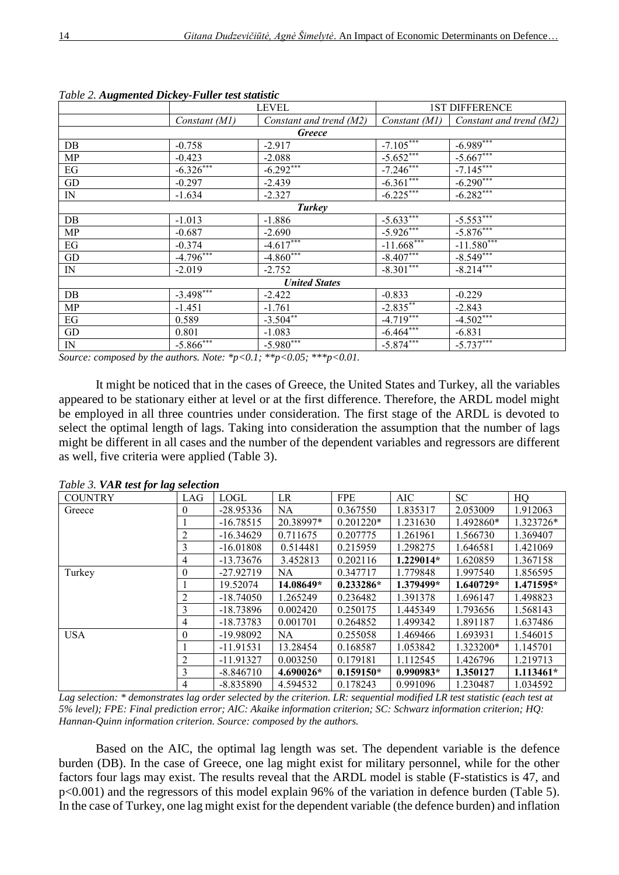| <i>raole 2.11</i> agnichica Dichey <i>1 anti-icsi stansi</i> |                         |                         |                        |                         |  |  |
|--------------------------------------------------------------|-------------------------|-------------------------|------------------------|-------------------------|--|--|
|                                                              |                         | <b>LEVEL</b>            | <b>1ST DIFFERENCE</b>  |                         |  |  |
|                                                              | Constant (M1)           | Constant and trend (M2) | Constant (M1)          | Constant and trend (M2) |  |  |
|                                                              |                         | <b>Greece</b>           |                        |                         |  |  |
| DB                                                           | $-0.758$                | $-2.917$                | $-7.105***$            | $-6.989***$             |  |  |
| MP                                                           | $-0.423$                | $-2.088$                | $-5.652$ ***           | $-5.667***$             |  |  |
| EG                                                           | $-6.326***$             | $-6.292***$             | $-7.246$ ***           | $-7.145***$             |  |  |
| GD                                                           | $-0.297$                | $-2.439$                | $-6.361***$            | $-6.290***$             |  |  |
| IN                                                           | $-1.634$                | $-2.327$                | $-6.225***$            | $-6.282***$             |  |  |
| Turkey                                                       |                         |                         |                        |                         |  |  |
| DB                                                           | $-1.013$                | $-1.886$                | $-5.633***$            | $-5.553***$             |  |  |
| MP                                                           | $-0.687$                | $-2.690$                | $-5.926***$            | $-5.876***$             |  |  |
| $\operatorname{EG}$                                          | $-0.374$                | $-4.617$ ***            | $-11.668***$           | $-11.580***$            |  |  |
| GD                                                           | $-4.796***$             | $-4.860***$             | $-8.407***$            | $-8.549***$             |  |  |
| IN                                                           | $-2.019$                | $-2.752$                | $-8.301***$            | $-8.214$ ***            |  |  |
|                                                              |                         | <b>United States</b>    |                        |                         |  |  |
| DB                                                           | $-3.498***$             | $-2.422$                | $-0.833$               | $-0.229$                |  |  |
| MP                                                           | $-1.451$                | $-1.761$                | $-2.835***$            | $-2.843$                |  |  |
| EG                                                           | 0.589                   | $-3.504**$              | $-4.7\overline{19***}$ | $-4.502***$             |  |  |
| GD                                                           | 0.801                   | $-1.083$                | $-6.464***$            | $-6.831$                |  |  |
| IN                                                           | $-5.866$ <sup>***</sup> | $-5.980***$             | $-5.874***$            | $-5.737***$             |  |  |

*Table 2. Augmented Dickey-Fuller test statistic*

*Source: composed by the authors. Note: \*p<0.1; \*\*p<0.05; \*\*\*p<0.01.*

It might be noticed that in the cases of Greece, the United States and Turkey, all the variables appeared to be stationary either at level or at the first difference. Therefore, the ARDL model might be employed in all three countries under consideration. The first stage of the ARDL is devoted to select the optimal length of lags. Taking into consideration the assumption that the number of lags might be different in all cases and the number of the dependent variables and regressors are different as well, five criteria were applied (Table 3).

| <b>COUNTRY</b> | LAG            | <b>LOGL</b> | LR        | <b>FPE</b>  | <b>AIC</b>  | <b>SC</b> | HQ          |
|----------------|----------------|-------------|-----------|-------------|-------------|-----------|-------------|
| Greece         | 0              | $-28.95336$ | NA        | 0.367550    | 1.835317    | 2.053009  | 1.912063    |
|                |                | $-16.78515$ | 20.38997* | $0.201220*$ | 1.231630    | 1.492860* | 1.323726*   |
|                | $\overline{2}$ | $-16.34629$ | 0.711675  | 0.207775    | 1.261961    | 1.566730  | 1.369407    |
|                | 3              | $-16.01808$ | 0.514481  | 0.215959    | 1.298275    | 1.646581  | 1.421069    |
|                | 4              | $-13.73676$ | 3.452813  | 0.202116    | $1.229014*$ | 1.620859  | 1.367158    |
| Turkey         | 0              | $-27.92719$ | <b>NA</b> | 0.347717    | 1.779848    | 1.997540  | 1.856595    |
|                |                | 19.52074    | 14.08649* | $0.233286*$ | 1.379499*   | 1.640729* | $1.471595*$ |
|                | 2              | $-18.74050$ | 1.265249  | 0.236482    | 1.391378    | 1.696147  | 1.498823    |
|                | 3              | $-18.73896$ | 0.002420  | 0.250175    | 1.445349    | 1.793656  | 1.568143    |
|                | 4              | $-18.73783$ | 0.001701  | 0.264852    | 1.499342    | 1.891187  | 1.637486    |
| <b>USA</b>     | $\theta$       | $-19.98092$ | NA.       | 0.255058    | 1.469466    | 1.693931  | 1.546015    |
|                |                | $-11.91531$ | 13.28454  | 0.168587    | 1.053842    | 1.323200* | 1.145701    |
|                | 2              | $-11.91327$ | 0.003250  | 0.179181    | 1.112545    | 1.426796  | 1.219713    |
|                | 3              | $-8.846710$ | 4.690026* | $0.159150*$ | $0.990983*$ | 1.350127  | $1.113461*$ |
|                | 4              | $-8.835890$ | 4.594532  | 0.178243    | 0.991096    | 1.230487  | 1.034592    |

*Table 3. VAR test for lag selection*

*Lag selection: \* demonstrates lag order selected by the criterion. LR: sequential modified LR test statistic (each test at 5% level); FPE: Final prediction error; AIC: Akaike information criterion; SC: Schwarz information criterion; HQ: Hannan-Quinn information criterion. Source: composed by the authors.*

Based on the AIC, the optimal lag length was set. The dependent variable is the defence burden (DB). In the case of Greece, one lag might exist for military personnel, while for the other factors four lags may exist. The results reveal that the ARDL model is stable (F-statistics is 47, and p<0.001) and the regressors of this model explain 96% of the variation in defence burden (Table 5). In the case of Turkey, one lag might exist for the dependent variable (the defence burden) and inflation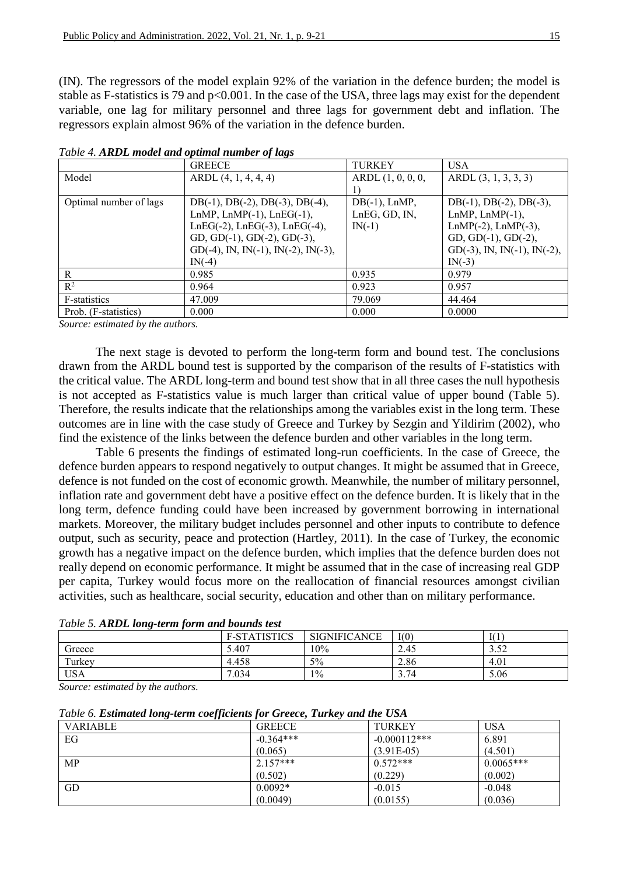(IN). The regressors of the model explain 92% of the variation in the defence burden; the model is stable as F-statistics is 79 and p<0.001. In the case of the USA, three lags may exist for the dependent variable, one lag for military personnel and three lags for government debt and inflation. The regressors explain almost 96% of the variation in the defence burden.

|                        | <b>GREECE</b>                               | <b>TURKEY</b>    | <b>USA</b>                     |
|------------------------|---------------------------------------------|------------------|--------------------------------|
| Model                  | ARDL(4, 1, 4, 4, 4)                         |                  | ARDL(3, 1, 3, 3, 3)            |
|                        |                                             |                  |                                |
| Optimal number of lags | $DB(-1)$ , $DB(-2)$ , $DB(-3)$ , $DB(-4)$ , | $DB(-1)$ , LnMP, | $DB(-1), DB(-2), DB(-3),$      |
|                        | LnMP, LnMP $(-1)$ , LnEG $(-1)$ ,           | LnEG, GD, IN,    | $LnMP$ , $LnMP(-1)$ ,          |
|                        | $LnEG(-2)$ , $LnEG(-3)$ , $LnEG(-4)$ ,      | $IN(-1)$         | $LnMP(-2)$ , $LnMP(-3)$ ,      |
|                        | GD, GD(-1), GD(-2), GD(-3),                 |                  | GD, GD(-1), GD(-2),            |
|                        | GD(-4), IN, IN(-1), IN(-2), IN(-3),         |                  | $GD(-3)$ , IN, IN(-1), IN(-2), |
|                        | $IN(-4)$                                    |                  | $IN(-3)$                       |
| R                      | 0.985                                       | 0.935            | 0.979                          |
| $R^2$                  | 0.964                                       | 0.923            | 0.957                          |
| F-statistics           | 47.009                                      | 79.069           | 44.464                         |
| Prob. (F-statistics)   | 0.000                                       | 0.000            | 0.0000                         |

*Table 4. ARDL model and optimal number of lags*

*Source: estimated by the authors.*

The next stage is devoted to perform the long-term form and bound test. The conclusions drawn from the ARDL bound test is supported by the comparison of the results of F-statistics with the critical value. The ARDL long-term and bound test show that in all three cases the null hypothesis is not accepted as F-statistics value is much larger than critical value of upper bound (Table 5). Therefore, the results indicate that the relationships among the variables exist in the long term. These outcomes are in line with the case study of Greece and Turkey by Sezgin and Yildirim (2002), who find the existence of the links between the defence burden and other variables in the long term.

Table 6 presents the findings of estimated long-run coefficients. In the case of Greece, the defence burden appears to respond negatively to output changes. It might be assumed that in Greece, defence is not funded on the cost of economic growth. Meanwhile, the number of military personnel, inflation rate and government debt have a positive effect on the defence burden. It is likely that in the long term, defence funding could have been increased by government borrowing in international markets. Moreover, the military budget includes personnel and other inputs to contribute to defence output, such as security, peace and protection (Hartley, 2011). In the case of Turkey, the economic growth has a negative impact on the defence burden, which implies that the defence burden does not really depend on economic performance. It might be assumed that in the case of increasing real GDP per capita, Turkey would focus more on the reallocation of financial resources amongst civilian activities, such as healthcare, social security, education and other than on military performance.

|            | <b>F-STATISTICS</b> | <b>SIGNIFICANCE</b> | I(0) | I(1)                  |
|------------|---------------------|---------------------|------|-----------------------|
| Greece     | 5.407               | 10%                 | 2.45 | 52<br>$\sim$<br>ے ر.ر |
| Turkey     | 4.458               | 5%                  | 2.86 | 4.01                  |
| <b>USA</b> | 7.034               | $1\%$               | 3.74 | 5.06                  |

*Table 5. ARDL long-term form and bounds test*

*Source: estimated by the authors.*

*Table 6. Estimated long-term coefficients for Greece, Turkey and the USA*

| <b>VARIABLE</b> | <b>GREECE</b> | <b>TURKEY</b>  | USA         |
|-----------------|---------------|----------------|-------------|
| EG              | $-0.364***$   | $-0.000112***$ | 6.891       |
|                 | (0.065)       | $(3.91E-05)$   | (4.501)     |
| <b>MP</b>       | $2.157***$    | $0.572***$     | $0.0065***$ |
|                 | (0.502)       | (0.229)        | (0.002)     |
| GD              | $0.0092*$     | $-0.015$       | $-0.048$    |
|                 | (0.0049)      | (0.0155)       | (0.036)     |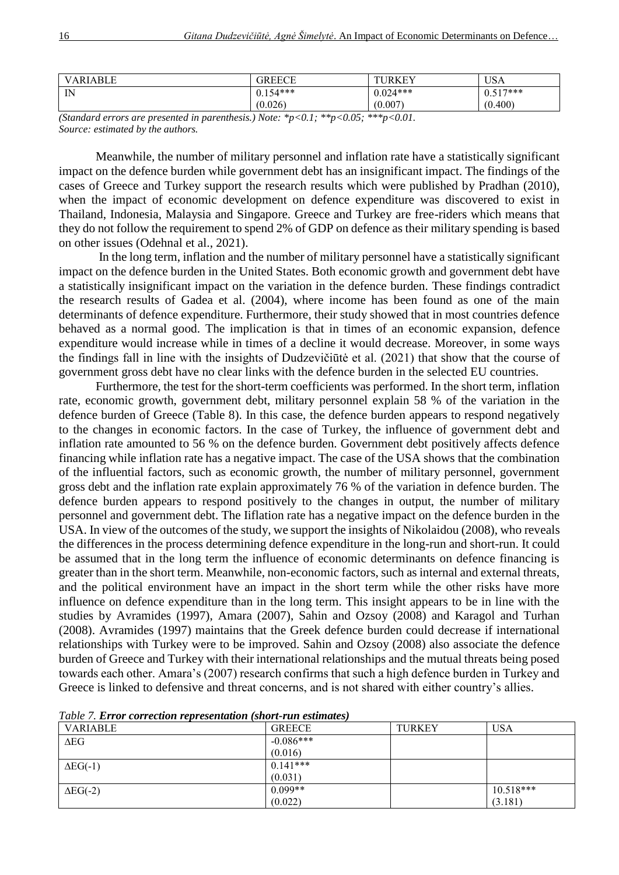| VARIABLE | GREECE     | JRKEY      | USA              |
|----------|------------|------------|------------------|
| IN<br>   | $0.154***$ | $0.024***$ | $517***$<br>0.31 |
|          | (0.026)    | (0.007)    | (0.400)          |

*(Standard errors are presented in parenthesis.) Note: \*p<0.1; \*\*p<0.05; \*\*\*p<0.01. Source: estimated by the authors.*

Meanwhile, the number of military personnel and inflation rate have a statistically significant impact on the defence burden while government debt has an insignificant impact. The findings of the cases of Greece and Turkey support the research results which were published by Pradhan (2010), when the impact of economic development on defence expenditure was discovered to exist in Thailand, Indonesia, Malaysia and Singapore. Greece and Turkey are free-riders which means that they do not follow the requirement to spend 2% of GDP on defence as their military spending is based on other issues (Odehnal et al., 2021).

In the long term, inflation and the number of military personnel have a statistically significant impact on the defence burden in the United States. Both economic growth and government debt have a statistically insignificant impact on the variation in the defence burden. These findings contradict the research results of Gadea et al. (2004), where income has been found as one of the main determinants of defence expenditure. Furthermore, their study showed that in most countries defence behaved as a normal good. The implication is that in times of an economic expansion, defence expenditure would increase while in times of a decline it would decrease. Moreover, in some ways the findings fall in line with the insights of Dudzevičiūtė et al. (2021) that show that the course of government gross debt have no clear links with the defence burden in the selected EU countries.

Furthermore, the test for the short-term coefficients was performed. In the short term, inflation rate, economic growth, government debt, military personnel explain 58 % of the variation in the defence burden of Greece (Table 8). In this case, the defence burden appears to respond negatively to the changes in economic factors. In the case of Turkey, the influence of government debt and inflation rate amounted to 56 % on the defence burden. Government debt positively affects defence financing while inflation rate has a negative impact. The case of the USA shows that the combination of the influential factors, such as economic growth, the number of military personnel, government gross debt and the inflation rate explain approximately 76 % of the variation in defence burden. The defence burden appears to respond positively to the changes in output, the number of military personnel and government debt. The Iiflation rate has a negative impact on the defence burden in the USA. In view of the outcomes of the study, we support the insights of Nikolaidou (2008), who reveals the differences in the process determining defence expenditure in the long-run and short-run. It could be assumed that in the long term the influence of economic determinants on defence financing is greater than in the short term. Meanwhile, non-economic factors, such as internal and external threats, and the political environment have an impact in the short term while the other risks have more influence on defence expenditure than in the long term. This insight appears to be in line with the studies by Avramides (1997), Amara (2007), Sahin and Ozsoy (2008) and Karagol and Turhan (2008). Avramides (1997) maintains that the Greek defence burden could decrease if international relationships with Turkey were to be improved. Sahin and Ozsoy (2008) also associate the defence burden of Greece and Turkey with their international relationships and the mutual threats being posed towards each other. Amara's (2007) research confirms that such a high defence burden in Turkey and Greece is linked to defensive and threat concerns, and is not shared with either country's allies.

| VARIABLE        | <b>GREECE</b> | <b>TURKEY</b> | <b>USA</b>  |
|-----------------|---------------|---------------|-------------|
| $\Delta EG$     | $-0.086***$   |               |             |
|                 | (0.016)       |               |             |
| $\Delta EG(-1)$ | $0.141***$    |               |             |
|                 | (0.031)       |               |             |
| $\Delta EG(-2)$ | $0.099**$     |               | $10.518***$ |
|                 | (0.022)       |               | (3.181)     |

*Table 7. Error correction representation (short-run estimates)*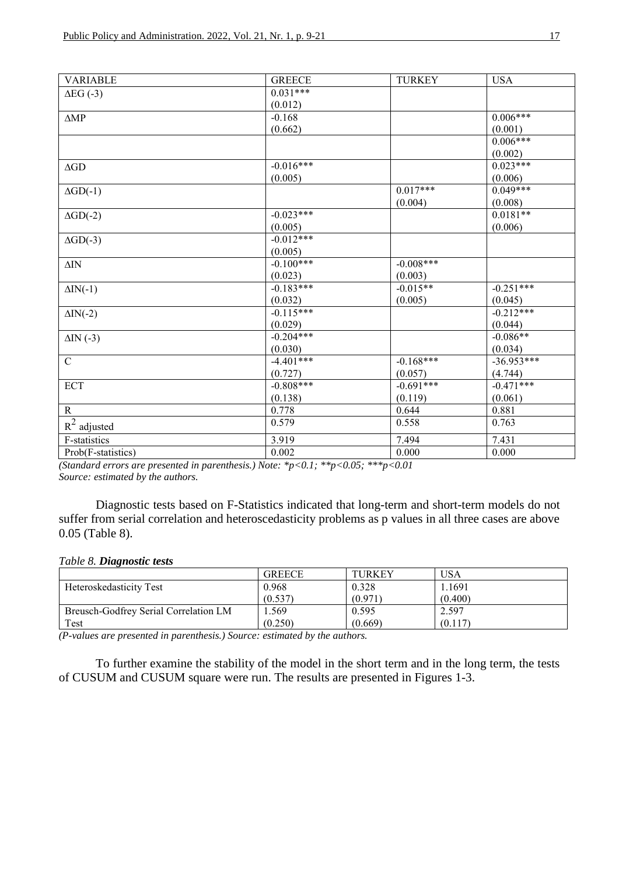| $0.031***$<br>$\Delta EG$ (-3)<br>(0.012)<br>$0.006***$<br>$-0.168$<br>$\triangle MP$<br>(0.662)<br>(0.001)<br>$0.006***$<br>(0.002)<br>$-0.016***$<br>$0.023***$<br>$\Delta \text{GD}$<br>(0.005)<br>(0.006)<br>$0.017***$<br>$0.049***$<br>$\Delta GD(-1)$<br>(0.004)<br>(0.008)<br>$-0.023***$<br>$0.0181**$<br>$\Delta GD(-2)$<br>(0.005)<br>(0.006)<br>$-0.012***$<br>$\Delta GD(-3)$<br>(0.005)<br>$-0.100***$<br>$-0.008***$<br>$\Delta \text{IN}$<br>(0.023)<br>(0.003)<br>$-0.183***$<br>$-0.251***$<br>$-0.015**$<br>$\Delta IN(-1)$<br>(0.032)<br>(0.005)<br>(0.045)<br>$-0.115***$<br>$-0.212***$<br>$\Delta IN(-2)$<br>(0.029)<br>(0.044)<br>$-0.204***$<br>$-0.086**$<br>$\Delta IN$ (-3)<br>(0.030)<br>(0.034)<br>$\mathbf C$<br>$-4.401***$<br>$-0.168***$<br>$-36.953***$<br>(0.727)<br>(0.057)<br>(4.744)<br>$-0.808***$<br>$-0.471***$<br><b>ECT</b><br>$-0.691***$<br>(0.138)<br>(0.061)<br>(0.119)<br>$\mathbf R$<br>0.778<br>0.881<br>0.644<br>$\mbox{\bf R}^2$ adjusted<br>0.579<br>0.558<br>0.763<br>3.919<br>F-statistics<br>7.494<br>7.431<br>0.002<br>Prob(F-statistics)<br>0.000<br>0.000 | <b>VARIABLE</b> | <b>GREECE</b> | <b>TURKEY</b> | <b>USA</b> |
|-----------------------------------------------------------------------------------------------------------------------------------------------------------------------------------------------------------------------------------------------------------------------------------------------------------------------------------------------------------------------------------------------------------------------------------------------------------------------------------------------------------------------------------------------------------------------------------------------------------------------------------------------------------------------------------------------------------------------------------------------------------------------------------------------------------------------------------------------------------------------------------------------------------------------------------------------------------------------------------------------------------------------------------------------------------------------------------------------------------------------|-----------------|---------------|---------------|------------|
|                                                                                                                                                                                                                                                                                                                                                                                                                                                                                                                                                                                                                                                                                                                                                                                                                                                                                                                                                                                                                                                                                                                       |                 |               |               |            |
|                                                                                                                                                                                                                                                                                                                                                                                                                                                                                                                                                                                                                                                                                                                                                                                                                                                                                                                                                                                                                                                                                                                       |                 |               |               |            |
|                                                                                                                                                                                                                                                                                                                                                                                                                                                                                                                                                                                                                                                                                                                                                                                                                                                                                                                                                                                                                                                                                                                       |                 |               |               |            |
|                                                                                                                                                                                                                                                                                                                                                                                                                                                                                                                                                                                                                                                                                                                                                                                                                                                                                                                                                                                                                                                                                                                       |                 |               |               |            |
|                                                                                                                                                                                                                                                                                                                                                                                                                                                                                                                                                                                                                                                                                                                                                                                                                                                                                                                                                                                                                                                                                                                       |                 |               |               |            |
|                                                                                                                                                                                                                                                                                                                                                                                                                                                                                                                                                                                                                                                                                                                                                                                                                                                                                                                                                                                                                                                                                                                       |                 |               |               |            |
|                                                                                                                                                                                                                                                                                                                                                                                                                                                                                                                                                                                                                                                                                                                                                                                                                                                                                                                                                                                                                                                                                                                       |                 |               |               |            |
|                                                                                                                                                                                                                                                                                                                                                                                                                                                                                                                                                                                                                                                                                                                                                                                                                                                                                                                                                                                                                                                                                                                       |                 |               |               |            |
|                                                                                                                                                                                                                                                                                                                                                                                                                                                                                                                                                                                                                                                                                                                                                                                                                                                                                                                                                                                                                                                                                                                       |                 |               |               |            |
|                                                                                                                                                                                                                                                                                                                                                                                                                                                                                                                                                                                                                                                                                                                                                                                                                                                                                                                                                                                                                                                                                                                       |                 |               |               |            |
|                                                                                                                                                                                                                                                                                                                                                                                                                                                                                                                                                                                                                                                                                                                                                                                                                                                                                                                                                                                                                                                                                                                       |                 |               |               |            |
|                                                                                                                                                                                                                                                                                                                                                                                                                                                                                                                                                                                                                                                                                                                                                                                                                                                                                                                                                                                                                                                                                                                       |                 |               |               |            |
|                                                                                                                                                                                                                                                                                                                                                                                                                                                                                                                                                                                                                                                                                                                                                                                                                                                                                                                                                                                                                                                                                                                       |                 |               |               |            |
|                                                                                                                                                                                                                                                                                                                                                                                                                                                                                                                                                                                                                                                                                                                                                                                                                                                                                                                                                                                                                                                                                                                       |                 |               |               |            |
|                                                                                                                                                                                                                                                                                                                                                                                                                                                                                                                                                                                                                                                                                                                                                                                                                                                                                                                                                                                                                                                                                                                       |                 |               |               |            |
|                                                                                                                                                                                                                                                                                                                                                                                                                                                                                                                                                                                                                                                                                                                                                                                                                                                                                                                                                                                                                                                                                                                       |                 |               |               |            |
|                                                                                                                                                                                                                                                                                                                                                                                                                                                                                                                                                                                                                                                                                                                                                                                                                                                                                                                                                                                                                                                                                                                       |                 |               |               |            |
|                                                                                                                                                                                                                                                                                                                                                                                                                                                                                                                                                                                                                                                                                                                                                                                                                                                                                                                                                                                                                                                                                                                       |                 |               |               |            |
|                                                                                                                                                                                                                                                                                                                                                                                                                                                                                                                                                                                                                                                                                                                                                                                                                                                                                                                                                                                                                                                                                                                       |                 |               |               |            |
|                                                                                                                                                                                                                                                                                                                                                                                                                                                                                                                                                                                                                                                                                                                                                                                                                                                                                                                                                                                                                                                                                                                       |                 |               |               |            |
|                                                                                                                                                                                                                                                                                                                                                                                                                                                                                                                                                                                                                                                                                                                                                                                                                                                                                                                                                                                                                                                                                                                       |                 |               |               |            |
|                                                                                                                                                                                                                                                                                                                                                                                                                                                                                                                                                                                                                                                                                                                                                                                                                                                                                                                                                                                                                                                                                                                       |                 |               |               |            |
|                                                                                                                                                                                                                                                                                                                                                                                                                                                                                                                                                                                                                                                                                                                                                                                                                                                                                                                                                                                                                                                                                                                       |                 |               |               |            |
|                                                                                                                                                                                                                                                                                                                                                                                                                                                                                                                                                                                                                                                                                                                                                                                                                                                                                                                                                                                                                                                                                                                       |                 |               |               |            |
|                                                                                                                                                                                                                                                                                                                                                                                                                                                                                                                                                                                                                                                                                                                                                                                                                                                                                                                                                                                                                                                                                                                       |                 |               |               |            |
|                                                                                                                                                                                                                                                                                                                                                                                                                                                                                                                                                                                                                                                                                                                                                                                                                                                                                                                                                                                                                                                                                                                       |                 |               |               |            |
|                                                                                                                                                                                                                                                                                                                                                                                                                                                                                                                                                                                                                                                                                                                                                                                                                                                                                                                                                                                                                                                                                                                       |                 |               |               |            |
|                                                                                                                                                                                                                                                                                                                                                                                                                                                                                                                                                                                                                                                                                                                                                                                                                                                                                                                                                                                                                                                                                                                       |                 |               |               |            |
|                                                                                                                                                                                                                                                                                                                                                                                                                                                                                                                                                                                                                                                                                                                                                                                                                                                                                                                                                                                                                                                                                                                       |                 |               |               |            |
|                                                                                                                                                                                                                                                                                                                                                                                                                                                                                                                                                                                                                                                                                                                                                                                                                                                                                                                                                                                                                                                                                                                       |                 |               |               |            |

*(Standard errors are presented in parenthesis.) Note: \*p<0.1; \*\*p<0.05; \*\*\*p<0.01 Source: estimated by the authors.*

Diagnostic tests based on F-Statistics indicated that long-term and short-term models do not suffer from serial correlation and heteroscedasticity problems as p values in all three cases are above 0.05 (Table 8).

# *Table 8. Diagnostic tests*

|                                       | <b>GREECE</b> | <b>TURKEY</b> | <b>USA</b> |
|---------------------------------------|---------------|---------------|------------|
| Heteroskedasticity Test               | 0.968         | 0.328         | . 1691     |
|                                       | (0.537)       | (0.971)       | (0.400)    |
| Breusch-Godfrey Serial Correlation LM | .569          | 0.595         | 2.597      |
| Test                                  | (0.250)       | (0.669)       | (0.117)    |

*(P-values are presented in parenthesis.) Source: estimated by the authors.*

To further examine the stability of the model in the short term and in the long term, the tests of CUSUM and CUSUM square were run. The results are presented in Figures 1-3.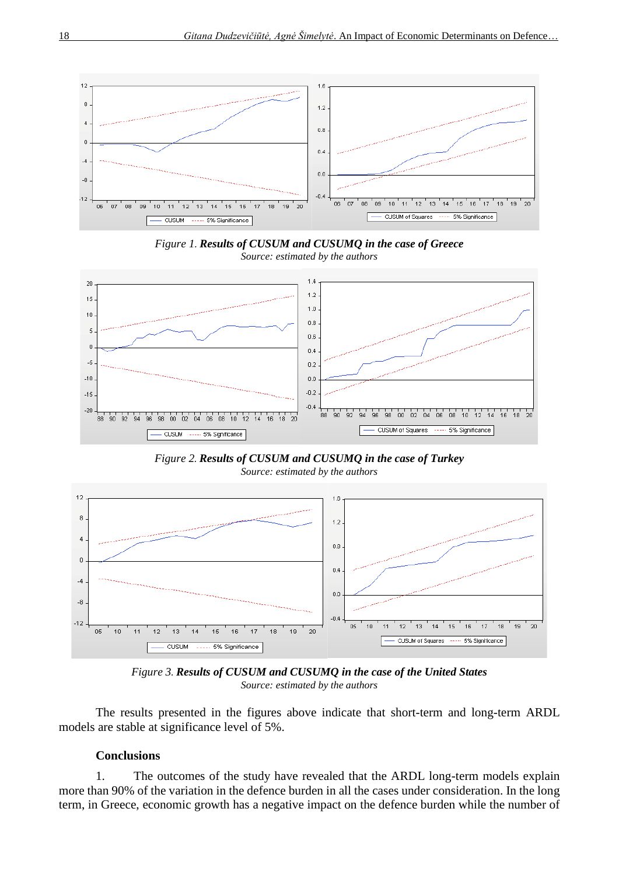

*Figure 1. Results of CUSUM and CUSUMQ in the case of Greece Source: estimated by the authors*



*Figure 2. Results of CUSUM and CUSUMQ in the case of Turkey Source: estimated by the authors*



*Figure 3. Results of CUSUM and CUSUMQ in the case of the United States Source: estimated by the authors*

The results presented in the figures above indicate that short-term and long-term ARDL models are stable at significance level of 5%.

# **Conclusions**

1. The outcomes of the study have revealed that the ARDL long-term models explain more than 90% of the variation in the defence burden in all the cases under consideration. In the long term, in Greece, economic growth has a negative impact on the defence burden while the number of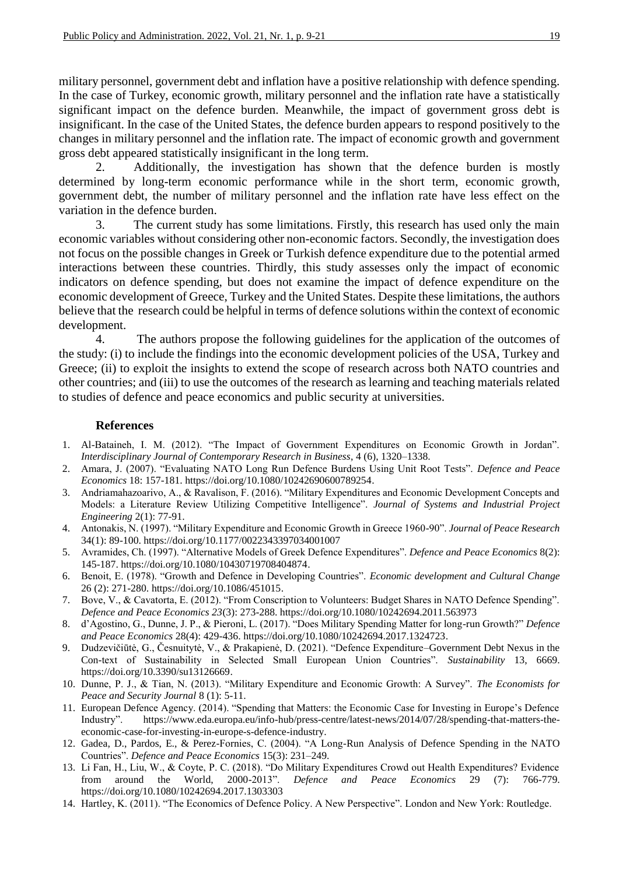military personnel, government debt and inflation have a positive relationship with defence spending. In the case of Turkey, economic growth, military personnel and the inflation rate have a statistically significant impact on the defence burden. Meanwhile, the impact of government gross debt is insignificant. In the case of the United States, the defence burden appears to respond positively to the changes in military personnel and the inflation rate. The impact of economic growth and government gross debt appeared statistically insignificant in the long term.

2. Additionally, the investigation has shown that the defence burden is mostly determined by long-term economic performance while in the short term, economic growth, government debt, the number of military personnel and the inflation rate have less effect on the variation in the defence burden.

3. The current study has some limitations. Firstly, this research has used only the main economic variables without considering other non-economic factors. Secondly, the investigation does not focus on the possible changes in Greek or Turkish defence expenditure due to the potential armed interactions between these countries. Thirdly, this study assesses only the impact of economic indicators on defence spending, but does not examine the impact of defence expenditure on the economic development of Greece, Turkey and the United States. Despite these limitations, the authors believe that the research could be helpful in terms of defence solutions within the context of economic development.

4. The authors propose the following guidelines for the application of the outcomes of the study: (i) to include the findings into the economic development policies of the USA, Turkey and Greece; (ii) to exploit the insights to extend the scope of research across both NATO countries and other countries; and (iii) to use the outcomes of the research as learning and teaching materials related to studies of defence and peace economics and public security at universities.

## **References**

- 1. Al-Bataineh, I. M. (2012). "The Impact of Government Expenditures on Economic Growth in Jordan". *Interdisciplinary Journal of Contemporary Research in Business*, 4 (6), 1320–1338.
- 2. Amara, J. (2007). "Evaluating NATO Long Run Defence Burdens Using Unit Root Tests". *Defence and Peace Economics* 18: 157-181. [https://doi.org/10.1080/10242690600789254.](https://doi.org/10.1080/10242690600789254)
- 3. Andriamahazoarivo, A., & Ravalison, F. (2016). "Military Expenditures and Economic Development Concepts and Models: a Literature Review Utilizing Competitive Intelligence". *Journal of Systems and Industrial Project Engineering* 2(1): 77-91.
- 4. Antonakis, N. (1997). "Military Expenditure and Economic Growth in Greece 1960-90". *Journal of Peace Research* 34(1): 89-100. https://doi.org/10.1177/0022343397034001007
- 5. Avramides, Ch. (1997). "Alternative Models of Greek Defence Expenditures". *Defence and Peace Economics* 8(2): 145-187. [https://doi.org/10.1080/10430719708404874.](https://doi.org/10.1080/10430719708404874)
- 6. Benoit, E. (1978). "Growth and Defence in Developing Countries". *Economic development and Cultural Change* 26 (2): 271-280. [https://doi.org/10.1086/451015.](https://doi.org/10.1086/451015)
- 7. Bove, V., & Cavatorta, E. (2012). "From Conscription to Volunteers: Budget Shares in NATO Defence Spending". *Defence and Peace Economics 23*(3): 273-288. https://doi.org/10.1080/10242694.2011.563973
- 8. d'Agostino, G., Dunne, J. P., & Pieroni, L. (2017). "Does Military Spending Matter for long-run Growth?" *Defence and Peace Economics* 28(4): 429-436. [https://doi.org/10.1080/10242694.2017.1324723.](https://doi.org/10.1080/10242694.2017.1324723)
- 9. Dudzevičiūtė, G., Česnuitytė, V., & Prakapienė, D. (2021). "Defence Expenditure–Government Debt Nexus in the Con-text of Sustainability in Selected Small European Union Countries". *Sustainability* 13, 6669. [https://doi.org/10.3390/su13126669.](https://doi.org/10.3390/su13126669)
- 10. Dunne, P. J., & Tian, N. (2013). "Military Expenditure and Economic Growth: A Survey". *The Economists for Peace and Security Journal* 8 (1): 5-11.
- 11. European Defence Agency. (2014). "Spending that Matters: the Economic Case for Investing in Europe's Defence Industry". [https://www.eda.europa.eu/info-hub/press-centre/latest-news/2014/07/28/spending-that-matters-the](https://www.eda.europa.eu/info-hub/press-centre/latest-news/2014/07/28/spending-that-matters-the-economic-case-for-investing-in-europe-s-defence-industry)[economic-case-for-investing-in-europe-s-defence-industry.](https://www.eda.europa.eu/info-hub/press-centre/latest-news/2014/07/28/spending-that-matters-the-economic-case-for-investing-in-europe-s-defence-industry)
- 12. Gadea, D., Pardos, E., & Perez-Fornies, C. (2004). "A Long-Run Analysis of Defence Spending in the NATO Countries". *Defence and Peace Economics* 15(3): 231–249.
- 13. Li Fan, H., Liu, W., & Coyte, P. C. (2018). "Do Military Expenditures Crowd out Health Expenditures? Evidence from around the World, 2000-2013". *Defence and Peace Economics* 29 (7): 766-779. https://doi.org/10.1080/10242694.2017.1303303
- 14. Hartley, K. (2011). "The Economics of Defence Policy. A New Perspective". London and New York: Routledge.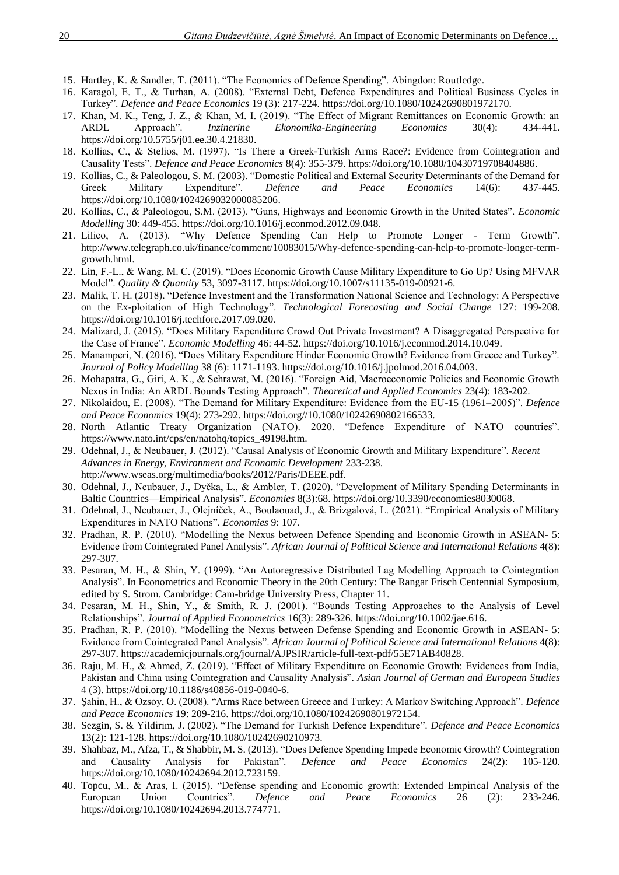- 15. Hartley, K. & Sandler, T. (2011). "The Economics of Defence Spending". Abingdon: Routledge.
- 16. Karagol, E. T., & Turhan, A. (2008). "External Debt, Defence Expenditures and Political Business Cycles in Turkey". *Defence and Peace Economics* 19 (3): 217-224. [https://doi.org/10.1080/10242690801972170.](https://doi.org/10.1080/10242690801972170)
- 17. Khan, M. K., Teng, J. Z., & Khan, M. I. (2019). "The Effect of Migrant Remittances on Economic Growth: an ARDL Approach". *Inzinerine Ekonomika-Engineering Economics* 30(4): 434-441. [https://doi.org/10.5755/j01.ee.30.4.21830.](https://doi.org/10.5755/j01.ee.30.4.21830)
- 18. Kollias, C., & Stelios, M. (1997). "Is There a Greek‐Turkish Arms Race?: Evidence from Cointegration and Causality Tests". *Defence and Peace Economics* 8(4): 355-379. [https://doi.org/10.1080/10430719708404886.](https://doi.org/10.1080/10430719708404886)
- 19. Kollias, C., & Paleologou, S. M. (2003). "Domestic Political and External Security Determinants of the Demand for Greek Military Expenditure". *Defence and Peace Economics* 14(6): 437-445. [https://doi.org/10.1080/1024269032000085206.](https://doi.org/10.1080/1024269032000085206)
- 20. Kollias, C., & Paleologou, S.M. (2013). "Guns, Highways and Economic Growth in the United States". *Economic Modelling* 30: 449-455. https://doi.org/10.1016/j.econmod.2012.09.048.
- 21. Lilico, A. (2013). "Why Defence Spending Can Help to Promote Longer Term Growth". [http://www.telegraph.co.uk/finance/comment/10083015/Why-defence-spending-can-help-to-promote-longer-term](http://www.telegraph.co.uk/finance/comment/10083015/Why-defence-spending-can-help-to-promote-longer-term-growth.html)[growth.html.](http://www.telegraph.co.uk/finance/comment/10083015/Why-defence-spending-can-help-to-promote-longer-term-growth.html)
- 22. Lin, F.-L., & Wang, M. C. (2019). "Does Economic Growth Cause Military Expenditure to Go Up? Using MFVAR Model". *Quality & Quantity* 53, 3097-3117. [https://doi.org/10.1007/s11135-019-00921-6.](https://doi.org/10.1007/s11135-019-00921-6)
- 23. Malik, T. H. (2018). "Defence Investment and the Transformation National Science and Technology: A Perspective on the Ex-ploitation of High Technology". *Technological Forecasting and Social Change* 127: 199-208. [https://doi.org/10.1016/j.techfore.2017.09.020.](https://doi.org/10.1016/j.techfore.2017.09.020)
- 24. Malizard, J. (2015). "Does Military Expenditure Crowd Out Private Investment? A Disaggregated Perspective for the Case of France". *Economic Modelling* 46: 44-52. [https://doi.org/10.1016/j.econmod.2014.10.049.](https://doi.org/10.1016/j.econmod.2014.10.049)
- 25. Manamperi, N. (2016). "Does Military Expenditure Hinder Economic Growth? Evidence from Greece and Turkey". *Journal of Policy Modelling* 38 (6): 1171-1193[. https://doi.org/10.1016/j.jpolmod.2016.04.003.](https://doi.org/10.1016/j.jpolmod.2016.04.003)
- 26. Mohapatra, G., Giri, A. K., & Sehrawat, M. (2016). "Foreign Aid, Macroeconomic Policies and Economic Growth Nexus in India: An ARDL Bounds Testing Approach". *Theoretical and Applied Economics* 23(4): 183-202.
- 27. Nikolaidou, E. (2008). "The Demand for Military Expenditure: Evidence from the EU-15 (1961–2005)". *Defence and Peace Economics* 19(4): 273-292. https://doi.org//10.1080/10242690802166533.
- 28. North Atlantic Treaty Organization (NATO). 2020. "Defence Expenditure of NATO countries". [https://www.nato.int/cps/en/natohq/topics\\_49198.htm.](https://www.nato.int/cps/en/natohq/topics_49198.htm)
- 29. Odehnal, J., & Neubauer, J. (2012). "Causal Analysis of Economic Growth and Military Expenditure". *Recent Advances in Energy, Environment and Economic Development* 233-238. [http://www.wseas.org/multimedia/books/2012/Paris/DEEE.pdf.](http://www.wseas.org/multimedia/books/2012/Paris/DEEE.pdf)
- 30. Odehnal, J., Neubauer, J., Dyčka, L., & Ambler, T. (2020). "Development of Military Spending Determinants in Baltic Countries—Empirical Analysis". *Economies* 8(3):68[. https://doi.org/10.3390/economies8030068.](https://doi.org/10.3390/economies8030068)
- 31. Odehnal, J., Neubauer, J., Olejníček, A., Boulaouad, J., & Brizgalová, L. (2021). "Empirical Analysis of Military Expenditures in NATO Nations". *Economies* 9: 107.
- 32. Pradhan, R. P. (2010). "Modelling the Nexus between Defence Spending and Economic Growth in ASEAN- 5: Evidence from Cointegrated Panel Analysis". *African Journal of Political Science and International Relations* 4(8): 297-307.
- 33. Pesaran, M. H., & Shin, Y. (1999). "An Autoregressive Distributed Lag Modelling Approach to Cointegration Analysis". In Econometrics and Economic Theory in the 20th Century: The Rangar Frisch Centennial Symposium, edited by S. Strom. Cambridge: Cam-bridge University Press, Chapter 11.
- 34. Pesaran, M. H., Shin, Y., & Smith, R. J. (2001). "Bounds Testing Approaches to the Analysis of Level Relationships". *Journal of Applied Econometrics* 16(3): 289-326. [https://doi.org/10.1002/jae.616.](https://doi.org/10.1002/jae.616)
- 35. Pradhan, R. P. (2010). "Modelling the Nexus between Defense Spending and Economic Growth in ASEAN- 5: Evidence from Cointegrated Panel Analysis". *African Journal of Political Science and International Relations* 4(8): 297-307. [https://academicjournals.org/journal/AJPSIR/article-full-text-pdf/55E71AB40828.](https://academicjournals.org/journal/AJPSIR/article-full-text-pdf/55E71AB40828)
- 36. Raju, M. H., & Ahmed, Z. (2019). "Effect of Military Expenditure on Economic Growth: Evidences from India, Pakistan and China using Cointegration and Causality Analysis". *Asian Journal of German and European Studies* 4 (3). [https://doi.org/10.1186/s40856-019-0040-6.](https://doi.org/10.1186/s40856-019-0040-6)
- 37. Şahin, H., & Ozsoy, O. (2008). "Arms Race between Greece and Turkey: A Markov Switching Approach". *Defence and Peace Economics* 19: 209-216. [https://doi.org/10.1080/10242690801972154.](https://doi.org/10.1080/10242690801972154)
- 38. Sezgin, S. & Yildirim, J. (2002). "The Demand for Turkish Defence Expenditure". *Defence and Peace Economics* 13(2): 121-128. [https://doi.org/10.1080/10242690210973.](https://doi.org/10.1080/10242690210973)
- 39. Shahbaz, M., Afza, T., & Shabbir, M. S. (2013). "Does Defence Spending Impede Economic Growth? Cointegration and Causality Analysis for Pakistan". *Defence and Peace Economics* 24(2): 105-120. [https://doi.org/10.1080/10242694.2012.723159.](https://doi.org/10.1080/10242694.2012.723159)
- 40. Topcu, M., & Aras, I. (2015). "Defense spending and Economic growth: Extended Empirical Analysis of the European Union Countries". *Defence and Peace Economics* 26 (2): 233-246. [https://doi.org/10.1080/10242694.2013.774771.](https://doi.org/10.1080/10242694.2013.774771)